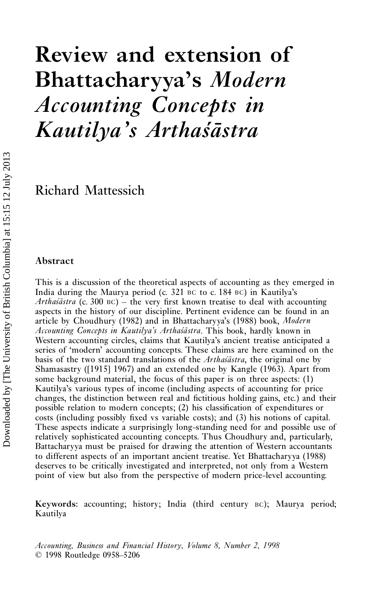# Review and extension of Bhattacharyya's *Modern Accounting Concepts in Kautilya's Arthas´astra ¯*

Richard Mattessich

## Abstract

This is a discussion of the theoretical aspects of accounting as they emerged in India during the Maurya period (c. 321 BC to c. 184 BC) in Kautilya's Arthaśāstra (c. 300 BC) – the very first known treatise to deal with accounting aspects in the history of our discipline. Pertinent evidence can be found in an article by Choudhury (1982) and in Bhattacharyya's (1988) book, *Modern Accounting Concepts in Kautilya's Artha´sastra ¯* . This book, hardly known in Western accounting circles, claims that Kautilya's ancient treatise anticipated a series of 'modern' accounting concepts. These claims are here examined on the basis of the two standard translations of the *Artha'sastra*, the original one by Shamasastry ([1915] 1967) and an extended one by Kangle (1963). Apart from some background material, the focus of this paper is on three aspects: (1) Kautilya's various types of income (including aspects of accounting for price changes, the distinction between real and fictitious holding gains, etc.) and their possible relation to modern concepts; (2) his classification of expenditures or costs (including possibly fixed vs variable costs); and (3) his notions of capital. These aspects indicate a surprisingly long-standing need for and possible use of relatively sophisticated accounting concepts. Thus Choudhury and, particularly, Battacharyya must be praised for drawing the attention of Western accountants to different aspects of an important ancient treatise. Yet Bhattacharyya (1988) deserves to be critically investigated and interpreted, not only from a Western point of view but also from the perspective of modern price-level accounting. Columbia Richard Mattessich<br>
Columbia Richard Mattessich<br>
This is a discussion of the the<br>
India during the Maurya period<br>
Arthasastra (c. 300 BC) – the ve<br>
aspects in the history of our discussion of the two standard ran

Keywords: accounting; history; India (third century BC); Maurya period; Kautilya

*Accounting, Business and Financial History, Volume 8, Number 2, 1998*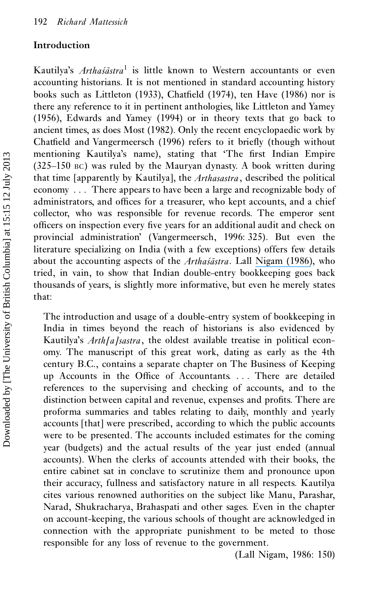## Introduction

Kautilya's *Arthaśāstra*<sup>1</sup> is little known to Western accountants or even accounting historians. It is not mentioned in standard accounting history books such as Littleton (1933), Chatfield (1974), ten Have (1986) nor is there any reference to it in pertinent anthologies, like Littleton and Yamey (1956), Edwards and Yamey (1994) or in theory texts that go back to ancient times, as does Most (1982). Only the recent encyclopaedic work by Chatfield and Vangermeersch (1996) refers to it briefly (though without mentioning Kautilya's name), stating that 'The first Indian Empire (325–150 BC) was ruled by the Mauryan dynasty. A book written during that time [apparently by Kautilya], the *Arthasastra*, described the political economy .. . There appears to have been a large and recognizable body of administrators, and offices for a treasurer, who kept accounts, and a chief collector, who was responsible for revenue records. The emperor sent officers on inspection every five years for an additional audit and check on provincial administration' (Vangermeersch, 1996: 325). But even the literature specializing on India (with a few exceptions) offers few details about the accounting aspects of the *Artha'sastra*. Lall [Nigam \(1986\)](https://www.researchgate.net/publication/259687520_Bahi-Khata_The_Pre-Pacioli_Indian_Double-entry_System_of_Bookkeeping?el=1_x_8&enrichId=rgreq-61989bd6106dfee9ac2d1f5d33e52738-XXX&enrichSource=Y292ZXJQYWdlOzI0MDY3MzA3O0FTOjk5MTE0MTYzMzc2MTMxQDE0MDA2NDIwNjYzMzI=), who tried, in vain, to show that Indian double-entry bookkeeping goes back thousands of years, is slightly more informative, but even he merely states that:

The introduction and usage of a double-entry system of bookkeeping in India in times beyond the reach of historians is also evidenced by Kautilya's *Arth[a]sastra*, the oldest available treatise in political econ omy. The manuscript of this great work, dating as early as the 4th century B.C., contains a separate chapter on The Business of Keeping up Accounts in the Office of Accountants.... There are detailed references to the supervising and checking of accounts, and to the distinction between capital and revenue, expenses and profits. There are proforma summaries and tables relating to daily, monthly and yearly accounts [that] were prescribed, according to which the public accounts were to be presented. The accounts included estimates for the coming year (budgets) and the actual results of the year just ended (annual accounts). When the clerks of accounts attended with their books, the entire cabinet sat in conclave to scrutinize them and pronounce upon their accuracy, fullness and satisfactory nature in all respects. Kautilya cites various renowned authorities on the subject like Manu, Parashar, Narad, Shukracharya, Brahaspati and other sages. Even in the chapter on account-keeping, the various schools of thought are acknowledged in connection with the appropriate punishment to be meted to those responsible for any loss of revenue to the government.

(Lall Nigam, 1986: 150)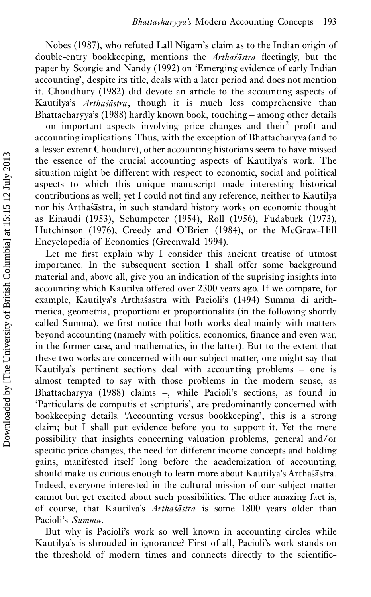Nobes (1987), who refuted Lall Nigam's claim as to the Indian origin of double-entry bookkeeping, mentions the *Artha'sastra* fleetingly, but the paper by Scorgie and Nandy (1992) on 'Emerging evidence of early Indian accounting', despite its title, deals with a later period and does not mention it. Choudhury (1982) did devote an article to the accounting aspects of Kautilya's Arthasastra, though it is much less comprehensive than Bhattacharyya's (1988) hardly known book, touching – among other details - on important aspects involving price changes and their<sup>2</sup> profit and accounting implications. Thus, with the exception of Bhattacharyya (and to a lesser extent Choudury), other accounting historians seem to have missed the essence of the crucial accounting aspects of Kautilya's work. The situation might be different with respect to economic, social and political aspects to which this unique manuscript made interesting historical contributions as well; yet I could not find any reference, neither to Kautilya nor his Arthasastra, in such standard history works on economic thought as Einaudi (1953), Schumpeter (1954), Roll (1956), Fudaburk (1973), Hutchinson (1976), Creedy and O'Brien (1984), or the McGraw-Hill Encyclopedia of Economics (Greenwald 1994).

Let me first explain why I consider this ancient treatise of utmost importance. In the subsequent section I shall offer some background material and, above all, give you an indication of the suprising insights into accounting which Kautilya offered over 2300 years ago. If we compare, for example, Kautilya's Arthaśāstra with Pacioli's (1494) Summa di arithmetica, geometria, proportioni et proportionalita (in the following shortly called Summa), we first notice that both works deal mainly with matters beyond accounting (namely with politics, economics, finance and even war, in the former case, and mathematics, in the latter). But to the extent that these two works are concerned with our subject matter, one might say that Kautilya's pertinent sections deal with accounting problems – one is almost tempted to say with those problems in the modern sense, as Bhattacharyya (1988) claims –, while Pacioli's sections, as found in 'Particularis de computis et scripturis', are predominantly concerned with bookkeeping details. 'Accounting versus bookkeeping', this is a strong claim; but I shall put evidence before you to support it. Yet the mere possibility that insights concerning valuation problems, general and/or specific price changes, the need for different income concepts and holding gains, manifested itself long before the academization of accounting, should make us curious enough to learn more about Kautilya's Arthasastra. Indeed, everyone interested in the cultural mission of our subject matter cannot but get excited about such possibilities. The other amazing fact is, of course, that Kautilya's *Artha's* $\bar{a}$ *stra* is some 1800 years older than Pacioli's *Summa*.

But why is Pacioli's work so well known in accounting circles while Kautilya's is shrouded in ignorance? First of all, Pacioli's work stands on the threshold of modern times and connects directly to the scientific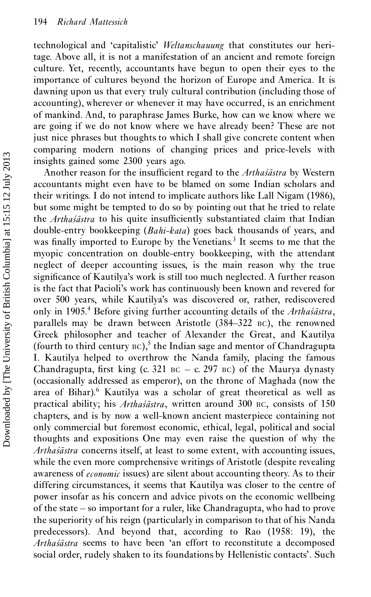technological and 'capitalistic' *Weltanschauung* that constitutes our heritage. Above all, it is not a manifestation of an ancient and remote foreign culture. Yet, recently, accountants have begun to open their eyes to the importance of cultures beyond the horizon of Europe and America. It is dawning upon us that every truly cultural contribution (including those of accounting), wherever or whenever it may have occurred, is an enrichment of mankind. And, to paraphrase James Burke, how can we know where we are going if we do not know where we have already been? These are not just nice phrases but thoughts to which I shall give concrete content when comparing modern notions of changing prices and price-levels with insights gained some 2300 years ago.

Another reason for the insufficient regard to the *Arthasastra* by Western accountants might even have to be blamed on some Indian scholars and their writings. I do not intend to implicate authors like Lall Nigam (1986), but some might be tempted to do so by pointing out that he tried to relate the *Arthasastra* to his quite insufficiently substantiated claim that Indian double-entry bookkeeping (*Bahi-kata*) goes back thousands of years, and was finally imported to Europe by the Venetians.<sup>3</sup> It seems to me that the myopic concentration on double-entry bookkeeping, with the attendant neglect of deeper accounting issues, is the main reason why the true significance of Kautilya's work is still too much neglected. A further reason is the fact that Pacioli's work has continuously been known and revered for over 500 years, while Kautilya's was discovered or, rather, rediscovered only in 1905.<sup>4</sup> Before giving further accounting details of the *Artha's* as *a a* + *a*  $\frac{1}{2}$  , *a* + *a*  $\frac{1}{2}$  , *a* + *a*  $\frac{1}{2}$  , *a* + *a*  $\frac{1}{2}$  , *a* + *a*  $\frac{1}{2}$  , *a* + *a*  $\frac{1}{2}$  , *a* + *a* parallels may be drawn between Aristotle (384–322 BC), the renowned Greek philosopher and teacher of Alexander the Great, and Kautilya (fourth to third century  $BC$ ),<sup>5</sup> the Indian sage and mentor of Chandragupta I. Kautilya helped to overthrow the Nanda family, placing the famous Chandragupta, first king (c. 321 BC – c. 297 BC) of the Maurya dynasty (occasionally addressed as emperor), on the throne of Maghada (now the area of Bihar).<sup>6</sup> Kautilya was a scholar of great theoretical as well as practical ability; his Arthasastra, written around 300 BC, consists of 150 chapters, and is by now a well-known ancient masterpiece containing not only commercial but foremost economic, ethical, legal, political and social thoughts and expositions One may even raise the question of why the *Artha'sastra* concerns itself, at least to some extent, with accounting issues, while the even more comprehensive writings of Aristotle (despite revealing awareness of *economic* issues) are silent about accounting theory. As to their differing circumstances, it seems that Kautilya was closer to the centre of power insofar as his concern and advice pivots on the economic wellbeing of the state – so important for a ruler, like Chandragupta, who had to prove the superiority of his reign (particularly in comparison to that of his Nanda predecessors). And beyond that, according to Rao (1958: 19), the Arthaśāstra seems to have been 'an effort to reconstitute a decomposed social order, rudely shaken to its foundations by Hellenistic contacts'. Such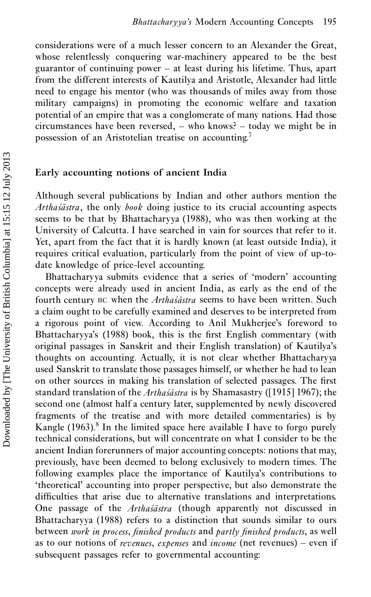considerations were of a much lesser concern to an Alexander the Great, whose relentlessly conquering war-machinery appeared to be the best guarantor of continuing power – at least during his lifetime. Thus, apart from the different interests of Kautilya and Aristotle, Alexander had little need to engage his mentor (who was thousands of miles away from those military campaigns) in promoting the economic welfare and taxation potential of an empire that was a conglomerate of many nations. Had those circumstances have been reversed, – who knows? – today we might be in possession of an Aristotelian treatise on accounting.<sup>7</sup>

## Early accounting notions of ancient India

Although several publications by Indian and other authors mention the *Arthaśāstra*, the only *book* doing justice to its crucial accounting aspects seems to be that by Bhattacharyya (1988), who was then working at the University of Calcutta. I have searched in vain for sources that refer to it. Yet, apart from the fact that it is hardly known (at least outside India), it requires critical evaluation, particularly from the point of view of up-to date knowledge of price-level accounting.

Bhattacharyya submits evidence that a series of 'modern' accounting concepts were already used in ancient India, as early as the end of the fourth century BC when the *Artha'sastra* seems to have been written. Such a claim ought to be carefully examined and deserves to be interpreted from a rigorous point of view. According to Anil Mukherjee's foreword to Bhattacharyya's (1988) book, this is the first English commentary (with original passages in Sanskrit and their English translation) of Kautilya's thoughts on accounting. Actually, it is not clear whether Bhattacharyya used Sanskrit to translate those passages himself, or whether he had to lean on other sources in making his translation of selected passages. The first standard translation of the *Artha´s¯astra* is by Shamasastry ([1915] 1967); the second one (almost half a century later, supplemented by newly discovered fragments of the treatise and with more detailed commentaries) is by Kangle  $(1963).$ <sup>8</sup> In the limited space here available I have to forgo purely technical considerations, but will concentrate on what I consider to be the ancient Indian forerunners of major accounting concepts: notions that may, previously, have been deemed to belong exclusively to modern times. The following examples place the importance of Kautilya's contributions to 'theoretical' accounting into proper perspective, but also demonstrate the difficulties that arise due to alternative translations and interpretations. One passage of the *Artha's* $\bar{a}$ stra (though apparently not discussed in Bhattacharyya (1988) refers to a distinction that sounds similar to ours between *work in process*, *nished products* and *partly nished products*, as well as to our notions of *revenues*, *expenses* and *income* (net revenues) – even if subsequent passages refer to governmental accounting: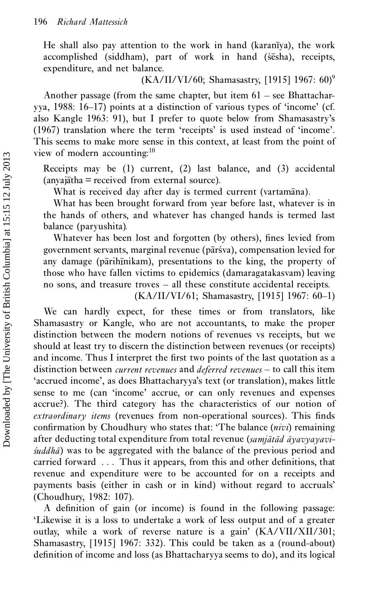He shall also pay attention to the work in hand (karanīya), the work accomplished (siddham), part of work in hand ( $\delta$ esha), receipts, expenditure, and net balance.

(KA/II/VI/60; Shamasastry, [1915] 1967: 60) 9

Another passage (from the same chapter, but item 61 – see Bhattachar yya, 1988: 16–17) points at a distinction of various types of 'income' (cf. also Kangle 1963: 91), but I prefer to quote below from Shamasastry's (1967) translation where the term 'receipts' is used instead of 'income'. This seems to make more sense in this context, at least from the point of view of modern accounting:<sup>10</sup>

Receipts may be (1) current, (2) last balance, and (3) accidental  $(\text{anya}$   $\overline{\text{at}}$  that  $\overline{\text{at}}$  = received from external source).

What is received day after day is termed current (vartamana).

What has been brought forward from year before last, whatever is in the hands of others, and whatever has changed hands is termed last balance (paryushita).

Whatever has been lost and forgotten (by others), fines levied from government servants, marginal revenue (pārśva), compensation levied for any damage (parihopikam), presentations to the king, the property of those who have fallen victims to epidemics (damaragatakasvam) leaving no sons, and treasure troves – all these constitute accidental receipts.

(KA/II/VI/61; Shamasastry, [1915] 1967: 60–1)

We can hardly expect, for these times or from translators, like Shamasastry or Kangle, who are not accountants, to make the proper distinction between the modern notions of revenues vs receipts, but we should at least try to discern the distinction between revenues (or receipts) and income. Thus I interpret the first two points of the last quotation as a distinction between *current revenues* and *deferred revenues* – to call this item 'accrued income', as does Bhattacharyya's text (or translation), makes little sense to me (can 'income' accrue, or can only revenues and expenses accrue?). The third category has the characteristics of our notion of *extraordinary items* (revenues from non-operational sources). This finds confirmation by Choudhury who states that: 'The balance *(nivi)* remaining after deducting total expenditure from total revenue (samjatad ayavyayavi*suddha*) was to be aggregated with the balance of the previous period and carried forward  $\ldots$  Thus it appears, from this and other definitions, that revenue and expenditure were to be accounted for on a receipts and payments basis (either in cash or in kind) without regard to accruals' (Choudhury, 1982: 107).

A definition of gain (or income) is found in the following passage: 'Likewise it is a loss to undertake a work of less output and of a greater outlay, while a work of reverse nature is a gain' (KA/VII/XII/301; Shamasastry, [1915] 1967: 332). This could be taken as a (round-about) definition of income and loss (as Bhattacharyya seems to do), and its logical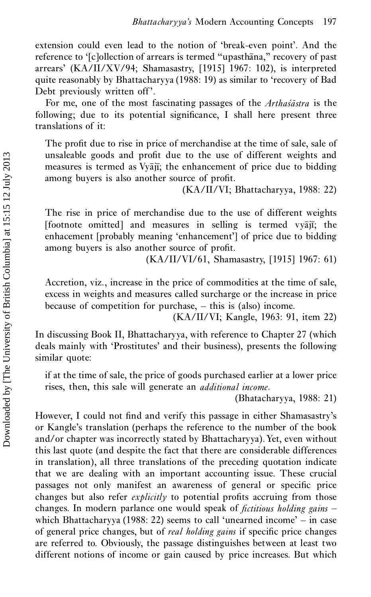extension could even lead to the notion of 'break-even point'. And the reference to '[c]ollection of arrears is termed "upasthana," recovery of past arrears' (KA/II/XV/94; Shamasastry, [1915] 1967: 102), is interpreted quite reasonably by Bhattacharyya (1988: 19) as similar to 'recovery of Bad Debt previously written off'.

For me, one of the most fascinating passages of the *Artha'sastra* is the following; due to its potential significance, I shall here present three translations of it:

The profit due to rise in price of merchandise at the time of sale, sale of unsaleable goods and profit due to the use of different weights and measures is termed as Vyajī; the enhancement of price due to bidding among buyers is also another source of profit.

(KA/II/VI; Bhattacharyya, 1988: 22)

The rise in price of merchandise due to the use of different weights  $[footnote$  omitted $]$  and measures in selling is termed vy $\overline{a}$   $\overline{b}$ ; the enhacement [probably meaning 'enhancement'] of price due to bidding among buyers is also another source of profit.

(KA/II/VI/61, Shamasastry, [1915] 1967: 61)

Accretion, viz., increase in the price of commodities at the time of sale, excess in weights and measures called surcharge or the increase in price because of competition for purchase, – this is (also) income.

(KA/II/VI; Kangle, 1963: 91, item 22)

In discussing Book II, Bhattacharyya, with reference to Chapter 27 (which deals mainly with 'Prostitutes' and their business), presents the following similar quote:

if at the time of sale, the price of goods purchased earlier at a lower price rises, then, this sale will generate an *additional income*.

(Bhatacharyya, 1988: 21)

However, I could not find and verify this passage in either Shamasastry's or Kangle's translation (perhaps the reference to the number of the book and/or chapter was incorrectly stated by Bhattacharyya). Yet, even without this last quote (and despite the fact that there are considerable differences in translation), all three translations of the preceding quotation indicate that we are dealing with an important accounting issue. These crucial passages not only manifest an awareness of general or specific price changes but also refer *explicitly* to potential profits accruing from those changes. In modern parlance one would speak of *fictitious holding gains* – which Bhattacharyya (1988: 22) seems to call 'unearned income' – in case of general price changes, but of *real holding gains* if specific price changes are referred to. Obviously, the passage distinguishes between at least two different notions of income or gain caused by price increases. But which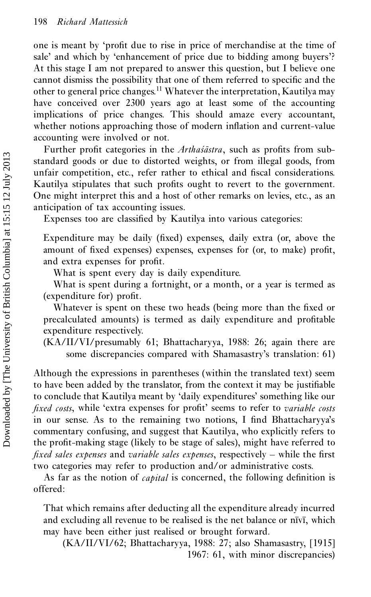one is meant by 'profit due to rise in price of merchandise at the time of sale' and which by 'enhancement of price due to bidding among buyers'? At this stage I am not prepared to answer this question, but I believe one cannot dismiss the possibility that one of them referred to specific and the other to general price changes.<sup>11</sup> Whatever the interpretation, Kautilya may have conceived over 2300 years ago at least some of the accounting implications of price changes. This should amaze every accountant, whether notions approaching those of modern inflation and current-value accounting were involved or not.

Further profit categories in the *Artha'sastra*, such as profits from substandard goods or due to distorted weights, or from illegal goods, from unfair competition, etc., refer rather to ethical and fiscal considerations. Kautilya stipulates that such profits ought to revert to the government. One might interpret this and a host of other remarks on levies, etc., as an anticipation of tax accounting issues.

Expenses too are classified by Kautilya into various categories:

Expenditure may be daily (fixed) expenses, daily extra (or, above the amount of fixed expenses) expenses, expenses for (or, to make) profit, and extra expenses for profit.

What is spent every day is daily expenditure.

What is spent during a fortnight, or a month, or a year is termed as (expenditure for) profit.

Whatever is spent on these two heads (being more than the fixed or precalculated amounts) is termed as daily expenditure and profitable expenditure respectively.

(KA/II/VI/presumably 61; Bhattacharyya, 1988: 26; again there are some discrepancies compared with Shamasastry's translation: 61)

Although the expressions in parentheses (within the translated text) seem to have been added by the translator, from the context it may be justifiable to conclude that Kautilya meant by 'daily expenditures' something like our *fixed costs*, while 'extra expenses for profit' seems to refer to *variable costs* in our sense. As to the remaining two notions, I find Bhattacharyya's commentary confusing, and suggest that Kautilya, who explicitly refers to the profit-making stage (likely to be stage of sales), might have referred to *fixed sales expenses* and *variable sales expenses*, respectively – while the first two categories may refer to production and/or administrative costs.

As far as the notion of *capital* is concerned, the following definition is offered:

That which remains after deducting all the expenditure already incurred and excluding all revenue to be realised is the net balance or  $n\bar{v}$ , which may have been either just realised or brought forward.

(KA/II/VI/62; Bhattacharyya, 1988: 27; also Shamasastry, [1915] 1967: 61, with minor discrepancies)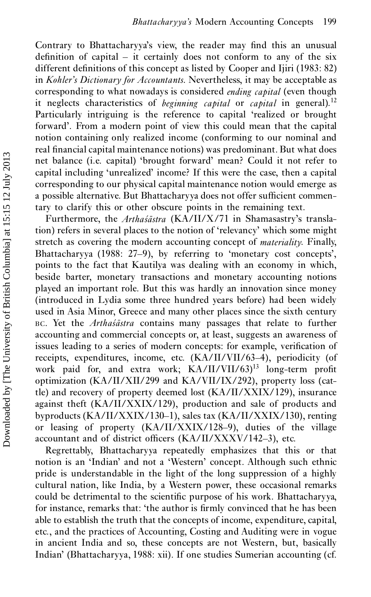Contrary to Bhattacharyya's view, the reader may find this an unusual definition of capital – it certainly does not conform to any of the six different definitions of this concept as listed by Cooper and Ijiri (1983: 82) in *Kohler's Dictionary for Accountants*. Nevertheless, it may be acceptable as corresponding to what nowadays is considered *ending capital* (even though it neglects characteristics of *beginning capital* or *capital* in general).<sup>12</sup> Particularly intriguing is the reference to capital 'realized or brought forward'. From a modern point of view this could mean that the capital notion containing only realized income (conforming to our nominal and real financial capital maintenance notions) was predominant. But what does net balance (i.e. capital) 'brought forward' mean? Could it not refer to capital including 'unrealized' income? If this were the case, then a capital corresponding to our physical capital maintenance notion would emerge as a possible alternative. But Bhattacharyya does not offer sufficient commentary to clarify this or other obscure points in the remaining text.

Furthermore, the *Arthaśāstra* (KA/II/X/71 in Shamasastry's translation) refers in several places to the notion of 'relevancy' which some might stretch as covering the modern accounting concept of *materiality*. Finally, Bhattacharyya (1988: 27–9), by referring to 'monetary cost concepts', points to the fact that Kautilya was dealing with an economy in which, beside barter, monetary transactions and monetary accounting notions played an important role. But this was hardly an innovation since money (introduced in Lydia some three hundred years before) had been widely used in Asia Minor, Greece and many other places since the sixth century BC. Yet the *Artha'sastra* contains many passages that relate to further accounting and commercial concepts or, at least, suggests an awareness of issues leading to a series of modern concepts: for example, verification of receipts, expenditures, income, etc. (KA/II/VII/63–4), periodicity (of work paid for, and extra work; KA/II/VII/63)<sup>13</sup> long-term profit optimization (KA/II/XII/299 and KA/VII/IX/292), property loss (cattle) and recovery of property deemed lost (KA/II/XXIX/129), insurance against theft (KA/II/XXIX/129), production and sale of products and byproducts (KA/II/XXIX/130–1), sales tax (KA/II/XXIX/130), renting leasing of property  $(KA/II/XXIX/128-9)$ , duties of the village accountant and of district officers  $(KA/II/XXXV/142-3)$ , etc.

Regrettably, Bhattacharyya repeatedly emphasizes that this or that notion is an 'Indian' and not a 'Western' concept. Although such ethnic pride is understandable in the light of the long suppression of a highly cultural nation, like India, by a Western power, these occasional remarks could be detrimental to the scientific purpose of his work. Bhattacharyya, for instance, remarks that: 'the author is firmly convinced that he has been able to establish the truth that the concepts of income, expenditure, capital, etc., and the practices of Accounting, Costing and Auditing were in vogue in ancient India and so, these concepts are not Western, but, basically Indian' (Bhattacharyya, 1988: xii). If one studies Sumerian accounting (cf.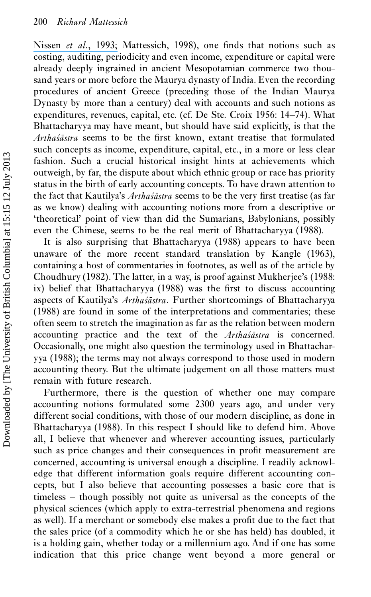Nissen *et al.*, 1993; Mattessich, 1998), one finds that notions such as costing, auditing, periodicity and even income, expenditure or capital were already deeply ingrained in ancient Mesopotamian commerce two thousand years or more before the Maurya dynasty of India. Even the recording procedures of ancient Greece (preceding those of the Indian Maurya Dynasty by more than a century) deal with accounts and such notions as expenditures, revenues, capital, etc. (cf. De Ste. Croix 1956: 14–74). What Bhattacharyya may have meant, but should have said explicitly, is that the *Arthaśāstra* seems to be the first known, extant treatise that formulated such concepts as income, expenditure, capital, etc., in a more or less clear fashion. Such a crucial historical insight hints at achievements which outweigh, by far, the dispute about which ethnic group or race has priority status in the birth of early accounting concepts. To have drawn attention to the fact that Kautilya's *Artha's* $\bar{a}$ *stra* seems to be the very first treatise (as far as we know) dealing with accounting notions more from a descriptive or 'theoretical' point of view than did the Sumarians, Babylonians, possibly even the Chinese, seems to be the real merit of Bhattacharyya (1988).

It is also surprising that Bhattacharyya (1988) appears to have been unaware of the more recent standard translation by Kangle (1963), containing a host of commentaries in footnotes, as well as of the article by Choudhury (1982). The latter, in a way, is proof against Mukherjee's (1988: ix) belief that Bhattacharyya (1988) was the first to discuss accounting aspects of Kautilya's *Arthaśāstra*. Further shortcomings of Bhattacharyya (1988) are found in some of the interpretations and commentaries; these often seem to stretch the imagination as far as the relation between modern accounting practice and the text of the *Artha'sastra* is concerned. Occasionally, one might also question the terminology used in Bhattachar yya (1988); the terms may not always correspond to those used in modern accounting theory. But the ultimate judgement on all those matters must remain with future research.

Furthermore, there is the question of whether one may compare accounting notions formulated some 2300 years ago, and under very different social conditions, with those of our modern discipline, as done in Bhattacharyya (1988). In this respect I should like to defend him. Above all, I believe that whenever and wherever accounting issues, particularly such as price changes and their consequences in profit measurement are concerned, accounting is universal enough a discipline. I readily acknowl edge that different information goals require different accounting con cepts, but I also believe that accounting possesses a basic core that is timeless – though possibly not quite as universal as the concepts of the physical sciences (which apply to extra-terrestrial phenomena and regions as well). If a merchant or somebody else makes a profit due to the fact that the sales price (of a commodity which he or she has held) has doubled, it is a holding gain, whether today or a millennium ago. And if one has some indication that this price change went beyond a more general or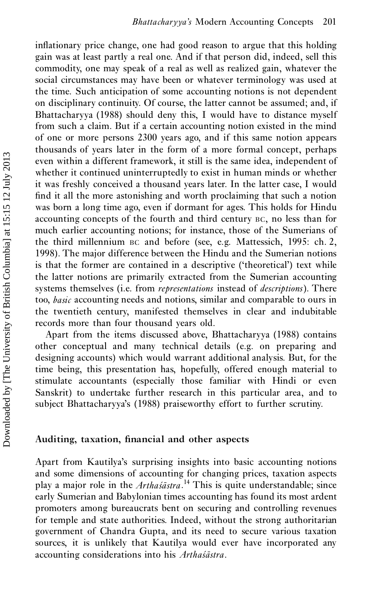inflationary price change, one had good reason to argue that this holding gain was at least partly a real one. And if that person did, indeed, sell this commodity, one may speak of a real as well as realized gain, whatever the social circumstances may have been or whatever terminology was used at the time. Such anticipation of some accounting notions is not dependent on disciplinary continuity. Of course, the latter cannot be assumed; and, if Bhattacharyya (1988) should deny this, I would have to distance myself from such a claim. But if a certain accounting notion existed in the mind of one or more persons 2300 years ago, and if this same notion appears thousands of years later in the form of a more formal concept, perhaps even within a different framework, it still is the same idea, independent of whether it continued uninterruptedly to exist in human minds or whether it was freshly conceived a thousand years later. In the latter case, I would find it all the more astonishing and worth proclaiming that such a notion was born a long time ago, even if dormant for ages. This holds for Hindu accounting concepts of the fourth and third century BC, no less than for much earlier accounting notions; for instance, those of the Sumerians of the third millennium BC and before (see, e.g. Mattessich, 1995: ch. 2, 1998). The major difference between the Hindu and the Sumerian notions is that the former are contained in a descriptive ('theoretical') text while the latter notions are primarily extracted from the Sumerian accounting systems themselves (i.e. from *representations* instead of *descriptions*). There too, *basic* accounting needs and notions, similar and comparable to ours in the twentieth century, manifested themselves in clear and indubitable records more than four thousand years old.

Apart from the items discussed above, Bhattacharyya (1988) contains other conceptual and many technical details (e.g. on preparing and designing accounts) which would warrant additional analysis. But, for the time being, this presentation has, hopefully, offered enough material to stimulate accountants (especially those familiar with Hindi or even Sanskrit) to undertake further research in this particular area, and to subject Bhattacharyya's (1988) praiseworthy effort to further scrutiny.

#### Auditing, taxation, financial and other aspects

Apart from Kautilya's surprising insights into basic accounting notions and some dimensions of accounting for changing prices, taxation aspects play a major role in the *Artha'sastra*.<sup>14</sup> This is quite understandable; since early Sumerian and Babylonian times accounting has found its most ardent promoters among bureaucrats bent on securing and controlling revenues for temple and state authorities. Indeed, without the strong authoritarian government of Chandra Gupta, and its need to secure various taxation sources, it is unlikely that Kautilya would ever have incorporated any accounting considerations into his *Artha'sastra* .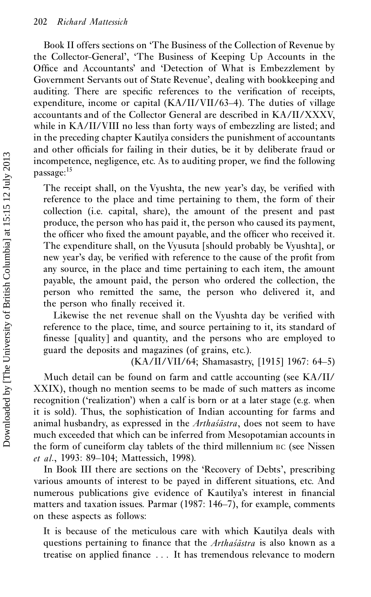Book II offers sections on 'The Business of the Collection of Revenue by the Collector-General', 'The Business of Keeping Up Accounts in the Office and Accountants' and 'Detection of What is Embezzlement by Government Servants out of State Revenue', dealing with bookkeeping and auditing. There are specific references to the verification of receipts, expenditure, income or capital (KA/II/VII/63–4). The duties of village accountants and of the Collector General are described in KA/II/XXXV, while in KA/II/VIII no less than forty ways of embezzling are listed; and in the preceding chapter Kautilya considers the punishment of accountants and other officials for failing in their duties, be it by deliberate fraud or incompetence, negligence, etc. As to auditing proper, we find the following passage:<sup>15</sup>

The receipt shall, on the Vyushta, the new year's day, be verified with reference to the place and time pertaining to them, the form of their collection (i.e. capital, share), the amount of the present and past produce, the person who has paid it, the person who caused its payment, the officer who fixed the amount payable, and the officer who received it. The expenditure shall, on the Vyusuta [should probably be Vyushta], or new year's day, be verified with reference to the cause of the profit from any source, in the place and time pertaining to each item, the amount payable, the amount paid, the person who ordered the collection, the person who remitted the same, the person who delivered it, and the person who finally received it.

Likewise the net revenue shall on the Vyushta day be verified with reference to the place, time, and source pertaining to it, its standard of nesse [quality] and quantity, and the persons who are employed to guard the deposits and magazines (of grains, etc.).

(KA/II/VII/64; Shamasastry, [1915] 1967: 64–5)

Much detail can be found on farm and cattle accounting (see KA/II/ XXIX), though no mention seems to be made of such matters as income recognition ('realization') when a calf is born or at a later stage (e.g. when it is sold). Thus, the sophistication of Indian accounting for farms and animal husbandry, as expressed in the *Artha'sastra*, does not seem to have much exceeded that which can be inferred from Mesopotamian accounts in the form of cuneiform clay tablets of the third millennium BC (see Nissen *et al*., 1993: 89–104; Mattessich, 1998).

In Book III there are sections on the 'Recovery of Debts', prescribing various amounts of interest to be payed in different situations, etc. And numerous publications give evidence of Kautilya's interest in financial matters and taxation issues. Parmar (1987: 146–7), for example, comments on these aspects as follows:

It is because of the meticulous care with which Kautilya deals with questions pertaining to finance that the *Artha'sastra* is also known as a treatise on applied finance ... It has tremendous relevance to modern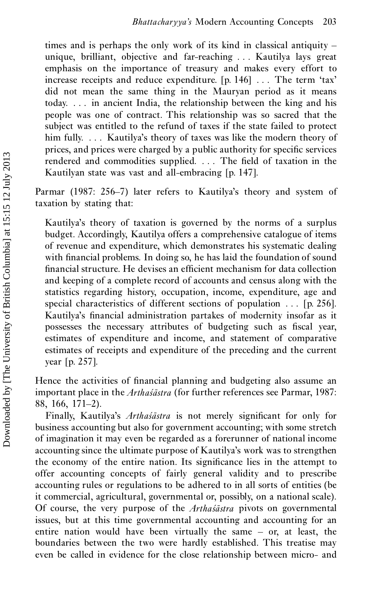times and is perhaps the only work of its kind in classical antiquity – unique, brilliant, objective and far-reaching . . . Kautilya lays great emphasis on the importance of treasury and makes every effort to increase receipts and reduce expenditure. [p. 146] . . . The term 'tax' did not mean the same thing in the Mauryan period as it means today. . . . in ancient India, the relationship between the king and his people was one of contract. This relationship was so sacred that the subject was entitled to the refund of taxes if the state failed to protect him fully. ... Kautilya's theory of taxes was like the modern theory of prices, and prices were charged by a public authority for specific services rendered and commodities supplied. ... The field of taxation in the Kautilyan state was vast and all-embracing [p. 147].

Parmar (1987: 256–7) later refers to Kautilya's theory and system of taxation by stating that:

Kautilya's theory of taxation is governed by the norms of a surplus budget. Accordingly, Kautilya offers a comprehensive catalogue of items of revenue and expenditure, which demonstrates his systematic dealing with financial problems. In doing so, he has laid the foundation of sound financial structure. He devises an efficient mechanism for data collection and keeping of a complete record of accounts and census along with the statistics regarding history, occupation, income, expenditure, age and special characteristics of different sections of population . . . [p. 256]. Kautilya's financial administration partakes of modernity insofar as it possesses the necessary attributes of budgeting such as fiscal year, estimates of expenditure and income, and statement of comparative estimates of receipts and expenditure of the preceding and the current year [p. 257].

Hence the activities of financial planning and budgeting also assume an important place in the *Artha'sastra* (for further references see Parmar, 1987: 88, 166, 171–2).

Finally, Kautilya's *Artha's astra* is not merely significant for only for business accounting but also for government accounting; with some stretch of imagination it may even be regarded as a forerunner of national income accounting since the ultimate purpose of Kautilya's work was to strengthen the economy of the entire nation. Its significance lies in the attempt to offer accounting concepts of fairly general validity and to prescribe accounting rules or regulations to be adhered to in all sorts of entities (be it commercial, agricultural, governmental or, possibly, on a national scale). Of course, the very purpose of the *Artha's* $\bar{a}$ *stra* pivots on governmental issues, but at this time governmental accounting and accounting for an entire nation would have been virtually the same – or, at least, the boundaries between the two were hardly established. This treatise may even be called in evidence for the close relationship between micro- and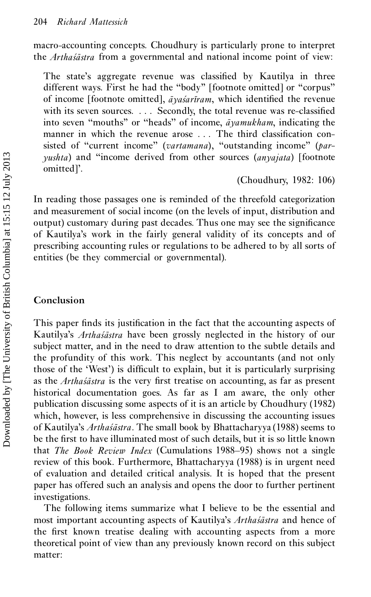macro-accounting concepts. Choudhury is particularly prone to interpret the *Artha'sastra* from a governmental and national income point of view:

The state's aggregate revenue was classified by Kautilya in three different ways. First he had the ''body'' [footnote omitted] or ''corpus'' of income [footnote omitted],  $\bar{a}$ *yaśarīram*, which identified the revenue with its seven sources. . . . Secondly, the total revenue was re-classified into seven "mouths" or "heads" of income,  $\bar{a}$ yamukham, indicating the manner in which the revenue arose ... The third classification consisted of "current income" (*vartamana*), "outstanding income" (*paryushta*) and ''income derived from other sources (*anyajata*) [footnote omitted]'.

(Choudhury, 1982: 106)

In reading those passages one is reminded of the threefold categorization and measurement of social income (on the levels of input, distribution and output) customary during past decades. Thus one may see the significance of Kautilya's work in the fairly general validity of its concepts and of prescribing accounting rules or regulations to be adhered to by all sorts of entities (be they commercial or governmental).

## Conclusion

This paper finds its justification in the fact that the accounting aspects of Kautilya's *Arthaśāstra* have been grossly neglected in the history of our subject matter, and in the need to draw attention to the subtle details and the profundity of this work. This neglect by accountants (and not only those of the 'West') is difficult to explain, but it is particularly surprising as the *Artha's* $\bar{a}$ *stra* is the very first treatise on accounting, as far as present historical documentation goes. As far as I am aware, the only other publication discussing some aspects of it is an article by Choudhury (1982) which, however, is less comprehensive in discussing the accounting issues of Kautilya's *Arthaśāstra*. The small book by Bhattacharyya (1988) seems to be the first to have illuminated most of such details, but it is so little known that *The Book Review Index* (Cumulations 1988–95) shows not a single review of this book. Furthermore, Bhattacharyya (1988) is in urgent need of evaluation and detailed critical analysis. It is hoped that the present paper has offered such an analysis and opens the door to further pertinent investigations.

The following items summarize what I believe to be the essential and most important accounting aspects of Kautilya's *Artha's* $\bar{a}$ *stra* and hence of the first known treatise dealing with accounting aspects from a more theoretical point of view than any previously known record on this subject matter: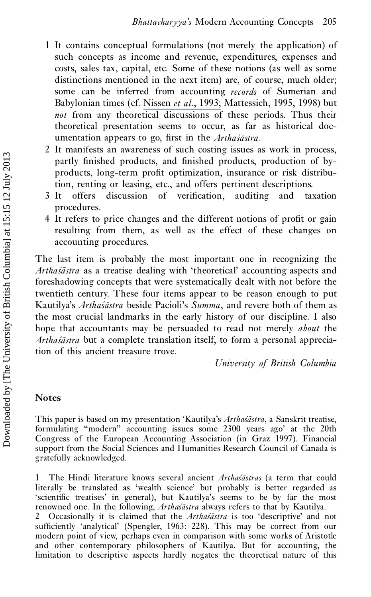- 1 It contains conceptual formulations (not merely the application) of such concepts as income and revenue, expenditures, expenses and costs, sales tax, capital, etc. Some of these notions (as well as some distinctions mentioned in the next item) are, of course, much older; some can be inferred from accounting *records* of Sumerian and Babylonian times (cf. Nissen *et al*[., 1993;](https://www.researchgate.net/publication/269433937_Archaic_Bookkeeping_Writing_and_Techniques_of_Economic_Administration_in_the_Ancient_Near_East?el=1_x_8&enrichId=rgreq-61989bd6106dfee9ac2d1f5d33e52738-XXX&enrichSource=Y292ZXJQYWdlOzI0MDY3MzA3O0FTOjk5MTE0MTYzMzc2MTMxQDE0MDA2NDIwNjYzMzI=) Mattessich, 1995, 1998) but *not* from any theoretical discussions of these periods. Thus their theoretical presentation seems to occur, as far as historical doc umentation appears to go, first in the *Artha's* $\bar{a}$ *stra*.
- 2 It manifests an awareness of such costing issues as work in process, partly finished products, and finished products, production of byproducts, long-term profit optimization, insurance or risk distribution, renting or leasing, etc., and offers pertinent descriptions.
- 3 It offers discussion of verification, auditing and taxation procedures.
- 4 It refers to price changes and the different notions of profit or gain resulting from them, as well as the effect of these changes on accounting procedures.

The last item is probably the most important one in recognizing the *Artha'sastra* as a treatise dealing with 'theoretical' accounting aspects and foreshadowing concepts that were systematically dealt with not before the twentieth century. These four items appear to be reason enough to put Kautilya's Arthaśāstra beside Pacioli's Summa, and revere both of them as the most crucial landmarks in the early history of our discipline. I also hope that accountants may be persuaded to read not merely *about* the *Artha'sastra* but a complete translation itself, to form a personal appreciation of this ancient treasure trove.

*University of British Columbia*

# Notes

This paper is based on my presentation 'Kautilya's *Artha'sastra*, a Sanskrit treatise, formulating ''modern'' accounting issues some 2300 years ago' at the 20th Congress of the European Accounting Association (in Graz 1997). Financial support from the Social Sciences and Humanities Research Council of Canada is gratefully acknowledged.

1 The Hindi literature knows several ancient *Artha'sastras* (a term that could literally be translated as 'wealth science' but probably is better regarded as 'scientific treatises' in general), but Kautilya's seems to be by far the most renowned one. In the following, *Artha'sastra* always refers to that by Kautilya.

2 Occasionally it is claimed that the *Artha'sastra* is too 'descriptive' and not sufficiently 'analytical' (Spengler, 1963: 228). This may be correct from our modern point of view, perhaps even in comparison with some works of Aristotle and other contemporary philosophers of Kautilya. But for accounting, the limitation to descriptive aspects hardly negates the theoretical nature of this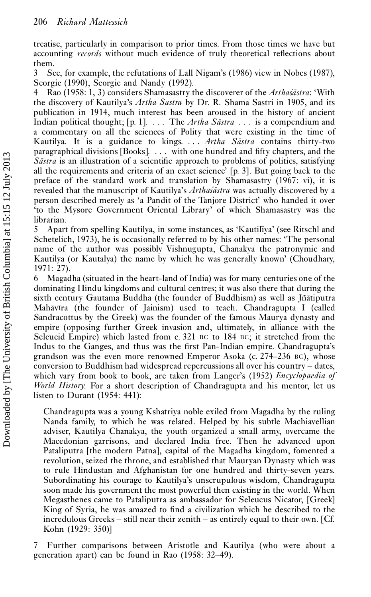treatise, particularly in comparison to prior times. From those times we have but accounting *records* without much evidence of truly theoretical reflections about them.

3 See, for example, the refutations of Lall Nigam's (1986) view in Nobes (1987), Scorgie (1990), Scorgie and Nandy (1992).

Rao (1958: 1, 3) considers Shamasastry the discoverer of the *Artha'sastra*: 'With the discovery of Kautilya's *Artha Sastra* by Dr. R. Shama Sastri in 1905, and its publication in 1914, much interest has been aroused in the history of ancient Indian political thought; [p. 1]. ... The *Artha Sästra* ... is a compendium and a commentary on all the sciences of Polity that were existing in the time of Kautilya. It is a guidance to kings. . . . Artha Sästra contains thirty-two paragraphical divisions [Books]. . . . with one hundred and fifty chapters, and the *Sāstra* is an illustration of a scientific approach to problems of politics, satisfying all the requirements and criteria of an exact science' [p. 3]. But going back to the preface of the standard work and translation by Shamasastry (1967: vi), it is revealed that the manuscript of Kautilya's Arthasastra was actually discovered by a person described merely as 'a Pandit of the Tanjore District' who handed it over 'to the Mysore Government Oriental Library' of which Shamasastry was the librarian.

5 Apart from spelling Kautilya, in some instances, as 'Kautilīya' (see Ritschl and Schetelich, 1973), he is occasionally referred to by his other names: 'The personal name of the author was possibly Vishnugupta, Chanakya the patronymic and Kautilya (or Kautalya) the name by which he was generally known' (Choudhary, 1971: 27).

6 Magadha (situated in the heart-land of India) was for many centuries one of the dominating Hindu kingdoms and cultural centres; it was also there that during the sixth century Gautama Buddha (the founder of Buddhism) as well as Jñatiputra Mahāvīra (the founder of Jainism) used to teach. Chandragupta I (called Sandracottus by the Greek) was the founder of the famous Maurya dynasty and empire (opposing further Greek invasion and, ultimately, in alliance with the Seleucid Empire) which lasted from c. 321 BC to 184 BC; it stretched from the Indus to the Ganges, and thus was the first Pan-Indian empire. Chandragupta's grandson was the even more renowned Emperor Asoka (c. 274–236 BC), whose conversion to Buddhism had widespread repercussions all over his country – dates, which vary from book to book, are taken from Langer's (1952) *Encyclopaedia of World History*. For a short description of Chandragupta and his mentor, let us listen to Durant (1954: 441):

Chandragupta was a young Kshatriya noble exiled from Magadha by the ruling Nanda family, to which he was related. Helped by his subtle Machiavellian adviser, Kautilya Chanakya, the youth organized a small army, overcame the Macedonian garrisons, and declared India free. Then he advanced upon Pataliputra [the modern Patna], capital of the Magadha kingdom, fomented a revolution, seized the throne, and established that Mauryan Dynasty which was to rule Hindustan and Afghanistan for one hundred and thirty-seven years. Subordinating his courage to Kautilya's unscrupulous wisdom, Chandragupta soon made his government the most powerful then existing in the world. When Megasthenes came to Pataliputra as ambassador for Seleucus Nicator, [Greek] King of Syria, he was amazed to find a civilization which he described to the incredulous Greeks – still near their zenith – as entirely equal to their own. [Cf. Kohn (1929: 350)]

7 Further comparisons between Aristotle and Kautilya (who were about a generation apart) can be found in Rao (1958: 32–49).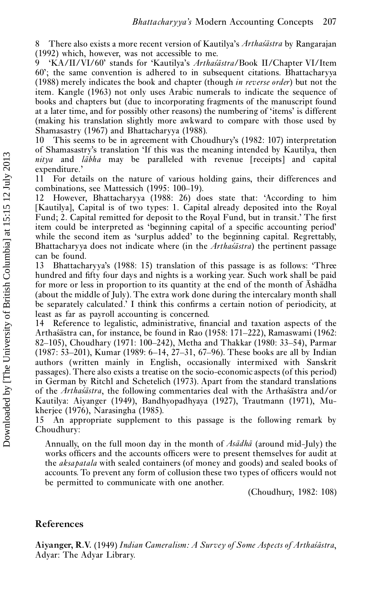There also exists a more recent version of Kautilya's *Artha'sastra* by Rangarajan (1992) which, however, was not accessible to me.

'KA/II/VI/60' stands for 'Kautilya's *Arthaśāstra*/Book II/Chapter VI/Item 60'; the same convention is adhered to in subsequent citations. Bhattacharyya (1988) merely indicates the book and chapter (though *in reverse order*) but not the item. Kangle (1963) not only uses Arabic numerals to indicate the sequence of books and chapters but (due to incorporating fragments of the manuscript found at a later time, and for possibly other reasons) the numbering of 'items' is different (making his translation slightly more awkward to compare with those used by Shamasastry (1967) and Bhattacharyya (1988).

10 This seems to be in agreement with Choudhury's (1982: 107) interpretation of Shamasastry's translation 'If this was the meaning intended by Kautilya, then *nitya* and *labha* may be paralleled with revenue [receipts] and capital expenditure.'

11 For details on the nature of various holding gains, their differences and combinations, see Mattessich (1995: 100–19).

12 However, Bhattacharyya (1988: 26) does state that: 'According to him [Kautilya], Capital is of two types: 1. Capital already deposited into the Royal Fund; 2. Capital remitted for deposit to the Royal Fund, but in transit.' The first item could be interpreted as 'beginning capital of a specific accounting period' while the second item as 'surplus added' to the beginning capital. Regrettably, Bhattacharyya does not indicate where (in the *Artha'sastra*) the pertinent passage can be found.

13 Bhattacharyya's (1988: 15) translation of this passage is as follows: 'Three hundred and fifty four days and nights is a working year. Such work shall be paid for more or less in proportion to its quantity at the end of the month of Ashadha (about the middle of July). The extra work done during the intercalary month shall be separately calculated.' I think this confirms a certain notion of periodicity, at least as far as payroll accounting is concerned.

14 Reference to legalistic, administrative, nancial and taxation aspects of the Arthasastra can, for instance, be found in Rao (1958: 171–222), Ramaswami (1962: 82–105), Choudhary (1971: 100–242), Metha and Thakkar (1980: 33–54), Parmar (1987: 53–201), Kumar (1989: 6–14, 27–31, 67–96). These books are all by Indian authors (written mainly in English, occasionally intermixed with Sanskrit passages). There also exists a treatise on the socio-economic aspects (of this period) in German by Ritchl and Schetelich (1973). Apart from the standard translations of the *Arthasastra*, the following commentaries deal with the Arthasastra and/or Kautilya: Aiyanger (1949), Bandhyopadhyaya (1927), Trautmann (1971), Mu kherjee (1976), Narasingha (1985).

15 An appropriate supplement to this passage is the following remark by Choudhury:

Annually, on the full moon day in the month of *Asadha* (around mid-July) the works officers and the accounts officers were to present themselves for audit at the *aksapatala* with sealed containers (of money and goods) and sealed books of accounts. To prevent any form of collusion these two types of officers would not be permitted to communicate with one another.

(Choudhury, 1982: 108)

#### References

Aiyanger, R.V. (1949) *Indian Cameralism: A Survey of Some Aspects of Arthaśastra*, Adyar: The Adyar Library.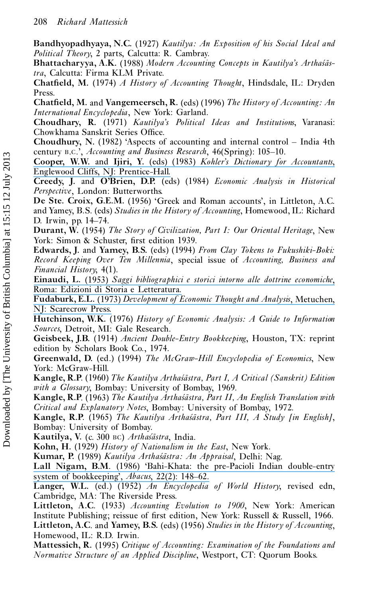Bandhyopadhyaya, N.C. (1927) *Kautilya: An Exposition of his Social Ideal and Political Theory*, 2 parts, Calcutta: R. Cambray.

Bhattacharyya, A.K. (1988) *Modern Accounting Concepts in Kautilya's Arthaśāstra*, Calcutta: Firma KLM Private.

Chatfield, M. (1974) *A History of Accounting Thought*, Hindsdale, IL: Dryden Press.

Chatfield, M. and Vangemeersch, R. (eds) (1996) *The History of Accounting: An International Encyclopedia*, New York: Garland.

Choudhary, R. (1971) *Kautilya's Political Ideas and Institutions*, Varanasi: Chowkhama Sanskrit Series Office.

Choudhury, N. (1982) 'Aspects of accounting and internal control – India 4th century B.C.', *Accounting and Business Research*, 46(Spring): 105–10.

Cooper, W.W. and Ijiri, Y. (eds) (1983) *[Kohler's Dictionary for Accountants](https://www.researchgate.net/publication/37901464_Kohler)*, [Englewood Cliffs, NJ: Prentice-Hall.](https://www.researchgate.net/publication/37901464_Kohler)

Creedy, J. and O'Brien, D.P. (eds) (1984) *Economic Analysis in Historical Perspective*, London: Butterworths.

De Ste. Croix, G.E.M. (1956) 'Greek and Roman accounts', in Littleton, A.C. and Yamey, B.S. (eds) *Studies in the History of Accounting*, Homewood, IL: Richard D. Irwin, pp. 14–74.

Durant, W. (1954) *The Story of Civilization, Part I: Our Oriental Heritage*, New York: Simon & Schuster, first edition 1939.

Edwards, J. and Yamey, B.S. (eds) (1994) *From Clay Tokens to Fukushiki-Boki: Record Keeping Over Ten Millennia*, special issue of *Accounting, Business and Financial History*, 4(1).

Einaudi, L. (1953) *[Saggi bibliographici e storici intorno alle dottrine economiche](https://www.researchgate.net/publication/270421658_Saggi_Bibliografici_e_Storici_Intorno_alle_Dottrine_Economiche?el=1_x_8&enrichId=rgreq-61989bd6106dfee9ac2d1f5d33e52738-XXX&enrichSource=Y292ZXJQYWdlOzI0MDY3MzA3O0FTOjk5MTE0MTYzMzc2MTMxQDE0MDA2NDIwNjYzMzI=)*, [Roma: Edizioni di Storia e Letteratura.](https://www.researchgate.net/publication/270421658_Saggi_Bibliografici_e_Storici_Intorno_alle_Dottrine_Economiche?el=1_x_8&enrichId=rgreq-61989bd6106dfee9ac2d1f5d33e52738-XXX&enrichSource=Y292ZXJQYWdlOzI0MDY3MzA3O0FTOjk5MTE0MTYzMzc2MTMxQDE0MDA2NDIwNjYzMzI=)

Fudaburk, E.L. (1973) *[Development of Economic Thought and Analysis](https://www.researchgate.net/publication/270421658_Saggi_Bibliografici_e_Storici_Intorno_alle_Dottrine_Economiche?el=1_x_8&enrichId=rgreq-61989bd6106dfee9ac2d1f5d33e52738-XXX&enrichSource=Y292ZXJQYWdlOzI0MDY3MzA3O0FTOjk5MTE0MTYzMzc2MTMxQDE0MDA2NDIwNjYzMzI=)*, Metuchen, [NJ: Scarecrow Press.](https://www.researchgate.net/publication/270421658_Saggi_Bibliografici_e_Storici_Intorno_alle_Dottrine_Economiche?el=1_x_8&enrichId=rgreq-61989bd6106dfee9ac2d1f5d33e52738-XXX&enrichSource=Y292ZXJQYWdlOzI0MDY3MzA3O0FTOjk5MTE0MTYzMzc2MTMxQDE0MDA2NDIwNjYzMzI=)

Hutchinson, W.K. (1976) *History of Economic Analysis: A Guide to Information Sources*, Detroit, MI: Gale Research.

Geisbeek, J.B. (1914) *Ancient Double-Entry Bookkeeping*, Houston, TX: reprint edition by Scholars Book Co., 1974.

Greenwald, D. (ed.) (1994) *The McGraw-Hill Encyclopedia of Economics*, New York: McGraw-Hill.

Kangle, R.P. (1960) *The Kautilya Arthaśāstra, Part I, A Critical (Sanskrit) Edition with a Glossary*, Bombay: University of Bombay, 1969.

Kangle, R.P. (1963) *The Kautilya Artha'sastra, Part II, An English Translation with Critical and Explanatory Notes*, Bombay: University of Bombay, 1972.

Kangle, R.P. (1965) *The Kautilya Artha'sastra, Part III, A Study [in English]*, Bombay: University of Bombay.

Kautilya, V. (с. 300 вс) Arthasаstra, India.

Kohn, H. (1929) *History of Nationalism in the East*, New York.

Kumar, P. (1989) *Kautilya Arthaśāstra: An Appraisal*, Delhi: Nag.

Lall Nigam, B.M[. \(1986\) 'Bahi-Khata: the pre-Pacioli Indian double-entry](https://www.researchgate.net/publication/259687520_Bahi-Khata_The_Pre-Pacioli_Indian_Double-entry_System_of_Bookkeeping?el=1_x_8&enrichId=rgreq-61989bd6106dfee9ac2d1f5d33e52738-XXX&enrichSource=Y292ZXJQYWdlOzI0MDY3MzA3O0FTOjk5MTE0MTYzMzc2MTMxQDE0MDA2NDIwNjYzMzI=) [system of bookkeeping',](https://www.researchgate.net/publication/259687520_Bahi-Khata_The_Pre-Pacioli_Indian_Double-entry_System_of_Bookkeeping?el=1_x_8&enrichId=rgreq-61989bd6106dfee9ac2d1f5d33e52738-XXX&enrichSource=Y292ZXJQYWdlOzI0MDY3MzA3O0FTOjk5MTE0MTYzMzc2MTMxQDE0MDA2NDIwNjYzMzI=) *Abacus*, 22(2): 148–62.

Langer, W.L. (ed.) (1952) *An Encyclopedia of World History*, revised edn, Cambridge, MA: The Riverside Press.

Littleton, A.C. (1933) *Accounting Evolution to 1900*, New York: American Institute Publishing; reissue of first edition, New York: Russell & Russell, 1966. Littleton, A.C. and Yamey, B.S. (eds) (1956) *Studies in the History of Accounting*,

Homewood, IL: R.D. Irwin.

Mattessich, R. (1995) *Critique of Accounting: Examination of the Foundations and Normative Structure of an Applied Discipline*, Westport, CT: Quorum Books.